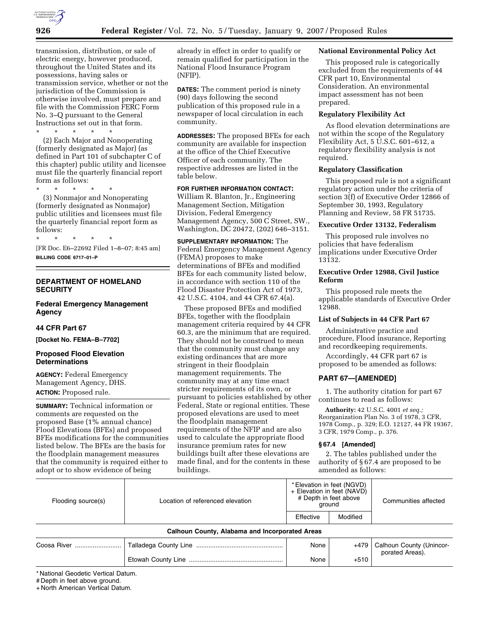

transmission, distribution, or sale of electric energy, however produced, throughout the United States and its possessions, having sales or transmission service, whether or not the jurisdiction of the Commission is otherwise involved, must prepare and file with the Commission FERC Form No. 3–Q pursuant to the General Instructions set out in that form.

\* \* \* \* \* (2) Each Major and Nonoperating (formerly designated as Major) (as defined in Part 101 of subchapter C of this chapter) public utility and licensee must file the quarterly financial report form as follows:

\* \* \* \* \*

\* \* \* \* \*

(3) Nonmajor and Nonoperating (formerly designated as Nonmajor) public utilities and licensees must file the quarterly financial report form as follows:

[FR Doc. E6–22692 Filed 1–8–07; 8:45 am] **BILLING CODE 6717–01–P** 

#### **DEPARTMENT OF HOMELAND SECURITY**

#### **Federal Emergency Management Agency**

#### **44 CFR Part 67**

**[Docket No. FEMA–B–7702]** 

#### **Proposed Flood Elevation Determinations**

**AGENCY:** Federal Emergency Management Agency, DHS. **ACTION:** Proposed rule.

**SUMMARY:** Technical information or comments are requested on the proposed Base (1% annual chance) Flood Elevations (BFEs) and proposed BFEs modifications for the communities listed below. The BFEs are the basis for the floodplain management measures that the community is required either to adopt or to show evidence of being

already in effect in order to qualify or remain qualified for participation in the National Flood Insurance Program (NFIP).

**DATES:** The comment period is ninety (90) days following the second publication of this proposed rule in a newspaper of local circulation in each community.

**ADDRESSES:** The proposed BFEs for each community are available for inspection at the office of the Chief Executive Officer of each community. The respective addresses are listed in the table below.

# **FOR FURTHER INFORMATION CONTACT:**

William R. Blanton, Jr., Engineering Management Section, Mitigation Division, Federal Emergency Management Agency, 500 C Street, SW., Washington, DC 20472, (202) 646–3151.

**SUPPLEMENTARY INFORMATION:** The Federal Emergency Management Agency (FEMA) proposes to make determinations of BFEs and modified BFEs for each community listed below, in accordance with section 110 of the Flood Disaster Protection Act of 1973, 42 U.S.C. 4104, and 44 CFR 67.4(a).

These proposed BFEs and modified BFEs, together with the floodplain management criteria required by 44 CFR 60.3, are the minimum that are required. They should not be construed to mean that the community must change any existing ordinances that are more stringent in their floodplain management requirements. The community may at any time enact stricter requirements of its own, or pursuant to policies established by other Federal, State or regional entities. These proposed elevations are used to meet the floodplain management requirements of the NFIP and are also used to calculate the appropriate flood insurance premium rates for new buildings built after these elevations are made final, and for the contents in these buildings.

#### **National Environmental Policy Act**

This proposed rule is categorically excluded from the requirements of 44 CFR part 10, Environmental Consideration. An environmental impact assessment has not been prepared.

# **Regulatory Flexibility Act**

As flood elevation determinations are not within the scope of the Regulatory Flexibility Act,  $5 \overline{U}$ .S.C. 601–612, a regulatory flexibility analysis is not required.

#### **Regulatory Classification**

This proposed rule is not a significant regulatory action under the criteria of section 3(f) of Executive Order 12866 of September 30, 1993, Regulatory Planning and Review, 58 FR 51735.

#### **Executive Order 13132, Federalism**

This proposed rule involves no policies that have federalism implications under Executive Order 13132.

### **Executive Order 12988, Civil Justice Reform**

This proposed rule meets the applicable standards of Executive Order 12988.

#### **List of Subjects in 44 CFR Part 67**

Administrative practice and procedure, Flood insurance, Reporting and recordkeeping requirements.

Accordingly, 44 CFR part 67 is proposed to be amended as follows:

#### **PART 67—[AMENDED]**

1. The authority citation for part 67 continues to read as follows:

**Authority:** 42 U.S.C. 4001 *et seq.;*  Reorganization Plan No. 3 of 1978, 3 CFR, 1978 Comp., p. 329; E.O. 12127, 44 FR 19367, 3 CFR, 1979 Comp., p. 376.

#### **§ 67.4 [Amended]**

2. The tables published under the authority of § 67.4 are proposed to be amended as follows:

| Flooding source(s) | Location of referenced elevation               | * Elevation in feet (NGVD)<br>+ Elevation in feet (NAVD)<br># Depth in feet above<br>ground |          | Communities affected                        |
|--------------------|------------------------------------------------|---------------------------------------------------------------------------------------------|----------|---------------------------------------------|
|                    |                                                | Effective                                                                                   | Modified |                                             |
|                    | Calhoun County, Alabama and Incorporated Areas |                                                                                             |          |                                             |
| Coosa River        |                                                | None                                                                                        | +479     | Calhoun County (Unincor-<br>porated Areas). |
|                    |                                                | None                                                                                        | $+510$   |                                             |

\* National Geodetic Vertical Datum.

# Depth in feet above ground.

+ North American Vertical Datum.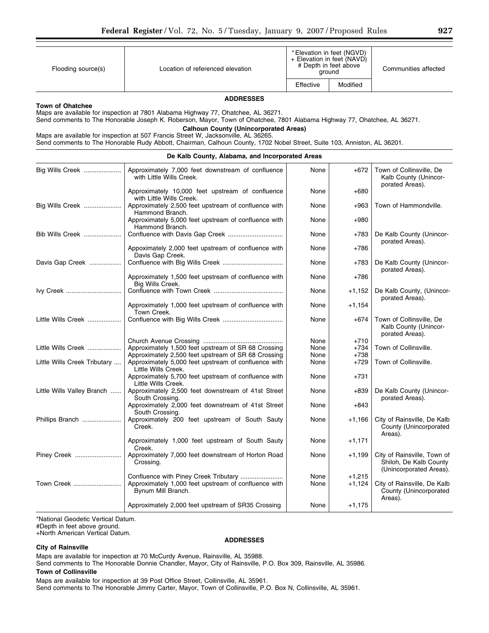| Flooding source(s)      | Location of referenced elevation                                                                                         |           | * Elevation in feet (NGVD)<br>+ Elevation in feet (NAVD)<br># Depth in feet above<br>around | Communities affected |  |
|-------------------------|--------------------------------------------------------------------------------------------------------------------------|-----------|---------------------------------------------------------------------------------------------|----------------------|--|
|                         |                                                                                                                          | Effective | Modified                                                                                    |                      |  |
|                         | <b>ADDRESSES</b>                                                                                                         |           |                                                                                             |                      |  |
| <b>Town of Ohatchee</b> |                                                                                                                          |           |                                                                                             |                      |  |
|                         | Maps are available for inspection at 7801 Alabama Highway 77, Ohatchee, AL 36271.                                        |           |                                                                                             |                      |  |
|                         | Send comments to The Honorable Joseph K. Roberson, Mayor, Town of Ohatchee, 7801 Alabama Highway 77, Ohatchee, AL 36271. |           |                                                                                             |                      |  |
|                         | <b>Calhoun County (Unincorporated Areas)</b>                                                                             |           |                                                                                             |                      |  |
|                         | Maps are available for inspection at 507 Francis Street W, Jacksonville, AL 36265.                                       |           |                                                                                             |                      |  |

| Send comments to The Honorable Rudy Abbott, Chairman, Calhoun County, 1702 Nobel Street, Suite 103, Anniston, AL 36201. |  |  |  |  |  |  |
|-------------------------------------------------------------------------------------------------------------------------|--|--|--|--|--|--|
|                                                                                                                         |  |  |  |  |  |  |

| De Kalb County, Alabama, and Incorporated Areas |                                                                               |      |          |                                                                                  |  |  |  |  |  |
|-------------------------------------------------|-------------------------------------------------------------------------------|------|----------|----------------------------------------------------------------------------------|--|--|--|--|--|
| Big Wills Creek                                 | Approximately 7,000 feet downstream of confluence<br>with Little Wills Creek. | None | $+672$   | Town of Collinsville, De<br>Kalb County (Unincor-<br>porated Areas).             |  |  |  |  |  |
|                                                 | Approximately 10,000 feet upstream of confluence<br>with Little Wills Creek.  | None | $+680$   |                                                                                  |  |  |  |  |  |
| Big Wills Creek                                 | Approximately 2,500 feet upstream of confluence with<br>Hammond Branch.       | None | $+963$   | Town of Hammondville.                                                            |  |  |  |  |  |
|                                                 | Approximately 5,000 feet upstream of confluence with<br>Hammond Branch.       | None | $+980$   |                                                                                  |  |  |  |  |  |
| Bib Wills Creek                                 |                                                                               | None | +783     | De Kalb County (Unincor-<br>porated Areas).                                      |  |  |  |  |  |
|                                                 | Appoximately 2,000 feet upstream of confluence with<br>Davis Gap Creek.       | None | $+786$   |                                                                                  |  |  |  |  |  |
| Davis Gap Creek                                 |                                                                               | None | +783     | De Kalb County (Unincor-<br>porated Areas).                                      |  |  |  |  |  |
|                                                 | Approximately 1,500 feet upstream of confluence with<br>Bia Wills Creek.      | None | $+786$   |                                                                                  |  |  |  |  |  |
| Ivy Creek                                       |                                                                               | None | $+1,152$ | De Kalb County, (Unincor-<br>porated Areas).                                     |  |  |  |  |  |
|                                                 | Approximately 1,000 feet upstream of confluence with<br>Town Creek.           | None | $+1,154$ |                                                                                  |  |  |  |  |  |
| Little Wills Creek                              |                                                                               | None | $+674$   | Town of Collinsville, De<br>Kalb County (Unincor-<br>porated Areas).             |  |  |  |  |  |
|                                                 |                                                                               | None | $+710$   |                                                                                  |  |  |  |  |  |
| Little Wills Creek                              | Approximately 1,500 feet upstream of SR 68 Crossing                           | None | $+734$   | Town of Collinsville.                                                            |  |  |  |  |  |
|                                                 | Approximately 2,500 feet upstream of SR 68 Crossing                           | None | $+738$   |                                                                                  |  |  |  |  |  |
| Little Wills Creek Tributary                    | Approximately 5,000 feet upstream of confluence with<br>Little Wills Creek.   | None | $+729$   | Town of Collinsville.                                                            |  |  |  |  |  |
|                                                 | Approximately 5,700 feet upstream of confluence with<br>Little Wills Creek.   | None | $+731$   |                                                                                  |  |  |  |  |  |
| Little Wills Valley Branch                      | Approximately 2,500 feet downstream of 41st Street<br>South Crossing.         | None | $+839$   | De Kalb County (Unincor-<br>porated Areas).                                      |  |  |  |  |  |
|                                                 | Approximately 2,000 feet downstream of 41st Street<br>South Crossing.         | None | $+843$   |                                                                                  |  |  |  |  |  |
| Phillips Branch                                 | Approximately 200 feet upstream of South Sauty<br>Creek.                      | None | +1,166   | City of Rainsville, De Kalb<br>County (Unincorporated<br>Areas).                 |  |  |  |  |  |
|                                                 | Approximately 1,000 feet upstream of South Sauty<br>Creek.                    | None | $+1,171$ |                                                                                  |  |  |  |  |  |
| Piney Creek                                     | Approximately 7,000 feet downstream of Horton Road<br>Crossing.               | None | $+1,199$ | City of Rainsville, Town of<br>Shiloh, De Kalb County<br>(Unincorporated Areas). |  |  |  |  |  |
|                                                 |                                                                               | None | $+1,215$ |                                                                                  |  |  |  |  |  |
| Town Creek                                      | Approximately 1,000 feet upstream of confluence with<br>Bynum Mill Branch.    | None | $+1,124$ | City of Rainsville, De Kalb<br>County (Unincorporated<br>Areas).                 |  |  |  |  |  |
|                                                 | Approximately 2,000 feet upstream of SR35 Crossing                            | None | $+1,175$ |                                                                                  |  |  |  |  |  |

\*National Geodetic Vertical Datum.

#Depth in feet above ground.

+North American Vertical Datum.

#### **City of Rainsville**

#### **ADDRESSES**

Maps are available for inspection at 70 McCurdy Avenue, Rainsville, AL 35988.

Send comments to The Honorable Donnie Chandler, Mayor, City of Rainsville, P.O. Box 309, Rainsville, AL 35986.

# **Town of Collinsville**

Maps are available for inspection at 39 Post Office Street, Collinsville, AL 35961. Send comments to The Honorable Jimmy Carter, Mayor, Town of Collinsville, P.O. Box N, Collinsville, AL 35961.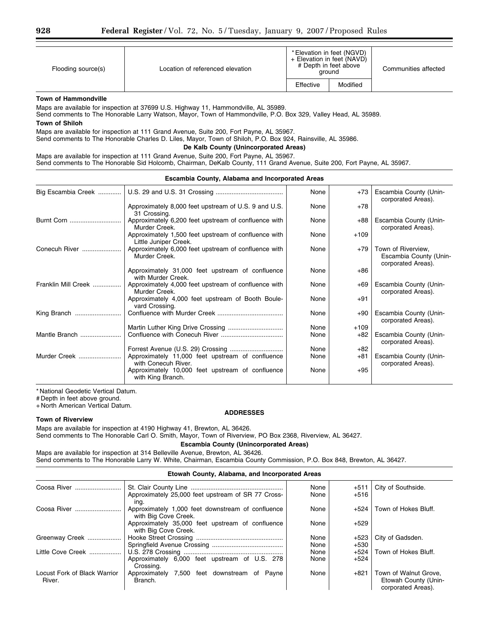| Flooding source(s) | Location of referenced elevation | * Elevation in feet (NGVD)<br>+ Elevation in feet (NAVD) | # Depth in feet above<br>around | Communities affected |
|--------------------|----------------------------------|----------------------------------------------------------|---------------------------------|----------------------|
|                    |                                  | Effective                                                | Modified                        |                      |

#### **Town of Hammondville**

Maps are available for inspection at 37699 U.S. Highway 11, Hammondville, AL 35989.

Send comments to The Honorable Larry Watson, Mayor, Town of Hammondville, P.O. Box 329, Valley Head, AL 35989.

# **Town of Shiloh**

Maps are available for inspection at 111 Grand Avenue, Suite 200, Fort Payne, AL 35967.

Send comments to The Honorable Charles D. Liles, Mayor, Town of Shiloh, P.O. Box 924, Rainsville, AL 35986.

#### **De Kalb County (Unincorporated Areas)**

Maps are available for inspection at 111 Grand Avenue, Suite 200, Fort Payne, AL 35967. Send comments to The Honorable Sid Holcomb, Chairman, DeKalb County, 111 Grand Avenue, Suite 200, Fort Payne, AL 35967.

| Escambia County, Alabama and Incorporated Areas |                                                                               |      |        |                                                                    |  |  |  |
|-------------------------------------------------|-------------------------------------------------------------------------------|------|--------|--------------------------------------------------------------------|--|--|--|
| Big Escambia Creek                              |                                                                               | None | $+73$  | Escambia County (Unin-<br>corporated Areas).                       |  |  |  |
|                                                 | Approximately 8,000 feet upstream of U.S. 9 and U.S.<br>31 Crossing.          | None | $+78$  |                                                                    |  |  |  |
| Burnt Corn                                      | Approximately 6,200 feet upstream of confluence with<br>Murder Creek.         | None | +88    | Escambia County (Unin-<br>corporated Areas).                       |  |  |  |
|                                                 | Approximately 1,500 feet upstream of confluence with<br>Little Juniper Creek. | None | $+109$ |                                                                    |  |  |  |
| Conecuh River                                   | Approximately 6,000 feet upstream of confluence with<br>Murder Creek.         | None | +79    | Town of Riverview,<br>Escambia County (Unin-<br>corporated Areas). |  |  |  |
|                                                 | Approximately 31,000 feet upstream of confluence<br>with Murder Creek.        | None | $+86$  |                                                                    |  |  |  |
| Franklin Mill Creek                             | Approximately 4,000 feet upstream of confluence with<br>Murder Creek.         | None | $+69$  | Escambia County (Unin-<br>corporated Areas).                       |  |  |  |
|                                                 | Approximately 4,000 feet upstream of Booth Boule-<br>vard Crossing.           | None | $+91$  |                                                                    |  |  |  |
| King Branch                                     |                                                                               | None | +90    | Escambia County (Unin-<br>corporated Areas).                       |  |  |  |
|                                                 | Martin Luther King Drive Crossing                                             | None | $+109$ |                                                                    |  |  |  |
| Mantle Branch                                   |                                                                               | None | $+82$  | Escambia County (Unin-<br>corporated Areas).                       |  |  |  |
|                                                 |                                                                               | None | $+82$  |                                                                    |  |  |  |
| Murder Creek                                    | Approximately 11,000 feet upstream of confluence<br>with Conecuh River.       | None | +81    | Escambia County (Unin-<br>corporated Areas).                       |  |  |  |
|                                                 | Approximately 10,000 feet upstream of confluence<br>with King Branch.         | None | $+95$  |                                                                    |  |  |  |

\* National Geodetic Vertical Datum.

# Depth in feet above ground.

+ North American Vertical Datum.

#### **Town of Riverview**

#### **ADDRESSES**

Maps are available for inspection at 4190 Highway 41, Brewton, AL 36426. Send comments to The Honorable Carl O. Smith, Mayor, Town of Riverview, PO Box 2368, Riverview, AL 36427.

**Escambia County (Unincorporated Areas)** 

Maps are available for inspection at 314 Belleville Avenue, Brewton, AL 36426. Send comments to The Honorable Larry W. White, Chairman, Escambia County Commission, P.O. Box 848, Brewton, AL 36427.

#### **Etowah County, Alabama, and Incorporated Areas**

| Coosa River                            | Approximately 25,000 feet upstream of SR 77 Cross-<br>ina.                | None<br>None | $+511$<br>$+516$ | City of Southside.                                                  |
|----------------------------------------|---------------------------------------------------------------------------|--------------|------------------|---------------------------------------------------------------------|
| Coosa River                            | Approximately 1,000 feet downstream of confluence<br>with Big Cove Creek. | None         | $+524$           | Town of Hokes Bluff.                                                |
|                                        | Approximately 35,000 feet upstream of confluence<br>with Big Cove Creek.  | None         | $+529$           |                                                                     |
| Greenway Creek                         |                                                                           | None         | $+523$           | City of Gadsden.                                                    |
|                                        |                                                                           | None         | +530             |                                                                     |
| Little Cove Creek                      |                                                                           | None         | $+524$           | Town of Hokes Bluff.                                                |
|                                        | Approximately 6,000 feet upstream of U.S. 278<br>Crossing.                | None         | $+524$           |                                                                     |
| Locust Fork of Black Warrior<br>River. | Approximately 7,500 feet downstream of Payne<br>Branch.                   | None         | $+821$           | Town of Walnut Grove.<br>Etowah County (Unin-<br>corporated Areas). |

**Escambia County, Alabama and Incorporated Areas**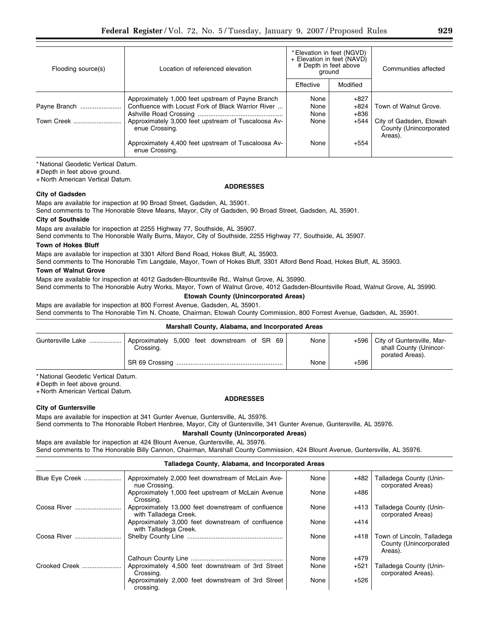| Flooding source(s) | Location of referenced elevation                                                                        | * Elevation in feet (NGVD)<br>+ Elevation in feet (NAVD)<br># Depth in feet above<br>ground |                            | Communities affected                                         |
|--------------------|---------------------------------------------------------------------------------------------------------|---------------------------------------------------------------------------------------------|----------------------------|--------------------------------------------------------------|
|                    |                                                                                                         | Effective                                                                                   | Modified                   |                                                              |
| Payne Branch       | Approximately 1,000 feet upstream of Payne Branch<br>Confluence with Locust Fork of Black Warrior River | None<br>None<br>None                                                                        | $+827$<br>$+824$<br>$+836$ | Town of Walnut Grove.                                        |
| Town Creek         | Approximately 3,000 feet upstream of Tuscaloosa Av-<br>enue Crossing.                                   | None                                                                                        | $+544$                     | City of Gadsden, Etowah<br>County (Unincorporated<br>Areas). |
|                    | Approximately 4,400 feet upstream of Tuscaloosa Av-<br>enue Crossing.                                   | None                                                                                        | $+554$                     |                                                              |

**ADDRESSES** 

\* National Geodetic Vertical Datum.

# Depth in feet above ground.

+ North American Vertical Datum.

# **City of Gadsden**

Maps are available for inspection at 90 Broad Street, Gadsden, AL 35901.

Send comments to The Honorable Steve Means, Mayor, City of Gadsden, 90 Broad Street, Gadsden, AL 35901.

# **City of Southside**

Maps are available for inspection at 2255 Highway 77, Southside, AL 35907.

Send comments to The Honorable Wally Burns, Mayor, City of Southside, 2255 Highway 77, Southside, AL 35907.

# **Town of Hokes Bluff**

Maps are available for inspection at 3301 Alford Bend Road, Hokes Bluff, AL 35903.

Send comments to The Honorable Tim Langdale, Mayor, Town of Hokes Bluff, 3301 Alford Bend Road, Hokes Bluff, AL 35903.

#### **Town of Walnut Grove**

Maps are available for inspection at 4012 Gadsden-Blountsville Rd., Walnut Grove, AL 35990.

Send comments to The Honorable Autry Works, Mayor, Town of Walnut Grove, 4012 Gadsden-Blountsville Road, Walnut Grove, AL 35990.

# **Etowah County (Unincorporated Areas)**

Maps are available for inspection at 800 Forrest Avenue, Gadsden, AL 35901. Send comments to The Honorable Tim N. Choate, Chairman, Etowah County Commission, 800 Forrest Avenue, Gadsden, AL 35901.

| Marshall County, Alabama, and Incorporated Areas |                                                           |  |  |  |  |  |  |      |        |                                                                                |
|--------------------------------------------------|-----------------------------------------------------------|--|--|--|--|--|--|------|--------|--------------------------------------------------------------------------------|
|                                                  | Approximately 5,000 feet downstream of SR 69<br>Crossing. |  |  |  |  |  |  | None |        | +596   City of Guntersville, Mar-<br>shall County (Unincor-<br>porated Areas). |
|                                                  |                                                           |  |  |  |  |  |  | None | $+596$ |                                                                                |

\* National Geodetic Vertical Datum.

# Depth in feet above ground.

+ North American Vertical Datum.

# **ADDRESSES**

**City of Guntersville**  Maps are available for inspection at 341 Gunter Avenue, Guntersville, AL 35976.

Send comments to The Honorable Robert Henbree, Mayor, City of Guntersville, 341 Gunter Avenue, Guntersville, AL 35976.

**Marshall County (Unincorporated Areas)** 

Maps are available for inspection at 424 Blount Avenue, Guntersville, AL 35976. Send comments to The Honorable Billy Cannon, Chairman, Marshall County Commission, 424 Blount Avenue, Guntersville, AL 35976.

#### **Talladega County, Alabama, and Incorporated Areas**

| Blue Eye Creek | Approximately 2,000 feet downstream of McLain Ave-<br>nue Crossing.         | None | $+482$ | Talladega County (Unin-<br>corporated Areas)                    |
|----------------|-----------------------------------------------------------------------------|------|--------|-----------------------------------------------------------------|
|                | Approximately 1,000 feet upstream of McLain Avenue<br>Crossing.             | None | $+486$ |                                                                 |
|                | Approximately 13,000 feet downstream of confluence<br>with Talladega Creek. | None | $+413$ | Talladega County (Unin-<br>corporated Areas)                    |
|                | Approximately 3,000 feet downstream of confluence<br>with Talladega Creek.  | None | $+414$ |                                                                 |
| Coosa River    |                                                                             | None | +418   | Town of Lincoln, Talladega<br>County (Unincorporated<br>Areas). |
|                |                                                                             | None | $+479$ |                                                                 |
| Crooked Creek  | Approximately 4,500 feet downstream of 3rd Street<br>Crossing.              | None | $+521$ | Talladega County (Unin-<br>corporated Areas).                   |
|                | Approximately 2,000 feet downstream of 3rd Street<br>crossing.              | None | $+526$ |                                                                 |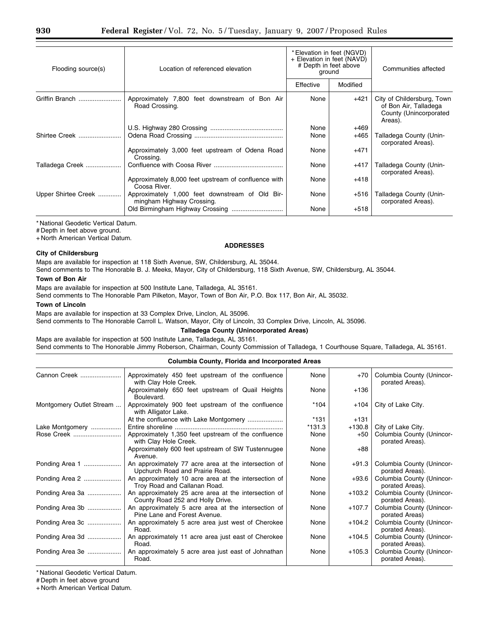| Flooding source(s)  | Location of referenced elevation                                             | * Elevation in feet (NGVD)<br>+ Elevation in feet (NAVD)<br># Depth in feet above<br>ground |                  | Communities affected                                                                     |
|---------------------|------------------------------------------------------------------------------|---------------------------------------------------------------------------------------------|------------------|------------------------------------------------------------------------------------------|
|                     |                                                                              | Effective                                                                                   | Modified         |                                                                                          |
| Griffin Branch      | Approximately 7,800 feet downstream of Bon Air<br>Road Crossing.             | None                                                                                        | $+421$           | City of Childersburg, Town<br>of Bon Air, Talladega<br>County (Unincorporated<br>Areas). |
| Shirtee Creek       |                                                                              | None<br>None                                                                                | $+469$<br>$+465$ | Talladega County (Unin-                                                                  |
|                     | Approximately 3,000 feet upstream of Odena Road<br>Crossing.                 | None                                                                                        | $+471$           | corporated Areas).                                                                       |
| Talladega Creek     |                                                                              | None                                                                                        | $+417$           | Talladega County (Unin-<br>corporated Areas).                                            |
|                     | Approximately 8,000 feet upstream of confluence with<br>Coosa River.         | None                                                                                        | $+418$           |                                                                                          |
| Upper Shirtee Creek | Approximately 1,000 feet downstream of Old Bir-<br>mingham Highway Crossing. | None                                                                                        | $+516$           | Talladega County (Unin-<br>corporated Areas).                                            |
|                     | Old Birmingham Highway Crossing                                              | None                                                                                        | $+518$           |                                                                                          |

\* National Geodetic Vertical Datum.

# Depth in feet above ground.

+ North American Vertical Datum.

#### **ADDRESSES**

# **City of Childersburg**

Maps are available for inspection at 118 Sixth Avenue, SW, Childersburg, AL 35044.

Send comments to The Honorable B. J. Meeks, Mayor, City of Childersburg, 118 Sixth Avenue, SW, Childersburg, AL 35044.

#### **Town of Bon Air**

Maps are available for inspection at 500 Institute Lane, Talladega, AL 35161.

Send comments to The Honorable Pam Pilketon, Mayor, Town of Bon Air, P.O. Box 117, Bon Air, AL 35032.

#### **Town of Lincoln**

Maps are available for inspection at 33 Complex Drive, Linclon, AL 35096.

Send comments to The Honorable Carroll L. Watson, Mayor, City of Lincoln, 33 Complex Drive, Lincoln, AL 35096.

#### **Talladega County (Unincorporated Areas)**

Maps are available for inspection at 500 Institute Lane, Talladega, AL 35161. Send comments to The Honorable Jimmy Roberson, Chairman, County Commission of Talladega, 1 Courthouse Square, Talladega, AL 35161.

#### **Columbia County, Florida and Incorporated Areas**

| Cannon Creek             | Approximately 450 feet upstream of the confluence<br>with Clay Hole Creek.               | None     | $+70$    | Columbia County (Unincor-<br>porated Areas). |
|--------------------------|------------------------------------------------------------------------------------------|----------|----------|----------------------------------------------|
|                          | Approximately 650 feet upstream of Quail Heights<br>Boulevard.                           | None     | $+136$   |                                              |
| Montgomery Outlet Stream | Approximately 900 feet upstream of the confluence<br>with Alligator Lake.                | $*104$   | +104     | City of Lake City.                           |
|                          | At the confluence with Lake Montgomery                                                   | $*131$   | $+131$   |                                              |
| Lake Montgomery          |                                                                                          | $*131.3$ | $+130.8$ | City of Lake City.                           |
|                          | Approximately 1,350 feet upstream of the confluence<br>with Clay Hole Creek.             | None     | +50      | Columbia County (Unincor-<br>porated Areas). |
|                          | Approximately 600 feet upstream of SW Tustennugee<br>Avenue.                             | None     | $+88$    |                                              |
| Ponding Area 1           | An approximately 77 acre area at the intersection of<br>Upchurch Road and Prairie Road.  | None     | $+91.3$  | Columbia County (Unincor-<br>porated Areas). |
| Ponding Area 2           | An approximately 10 acre area at the intersection of<br>Troy Road and Callanan Road.     | None     | $+93.6$  | Columbia County (Unincor-<br>porated Areas). |
| Ponding Area 3a          | An approximately 25 acre area at the intersection of<br>County Road 252 and Holly Drive. | None     | +103.2   | Columbia County (Unincor-<br>porated Areas). |
| Ponding Area 3b          | An approximately 5 acre area at the intersection of<br>Pine Lane and Forest Avenue.      | None     | +107.7   | Columbia County (Unincor-<br>porated Areas)  |
| Ponding Area 3c          | An approximately 5 acre area just west of Cherokee<br>Road.                              | None     | +104.2   | Columbia County (Unincor-<br>porated Areas). |
| Ponding Area 3d          | An approximately 11 acre area just east of Cherokee<br>Road.                             | None     | +104.5   | Columbia County (Unincor-<br>porated Areas). |
| Ponding Area 3e          | An approximately 5 acre area just east of Johnathan<br>Road.                             | None     | $+105.3$ | Columbia County (Unincor-<br>porated Areas). |

\* National Geodetic Vertical Datum.

# Depth in feet above ground

+ North American Vertical Datum.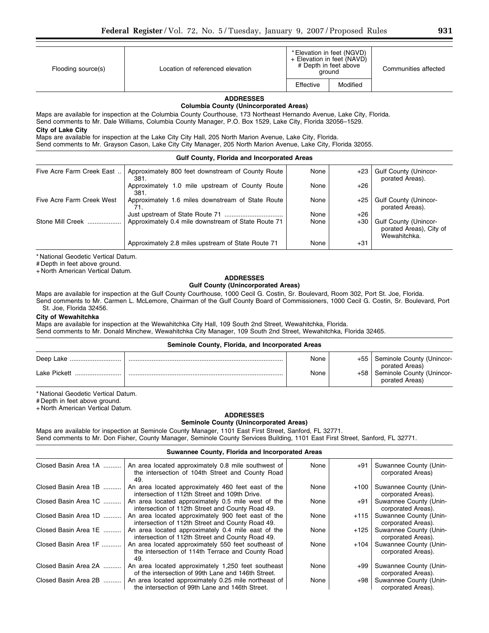| Flooding source(s) | Location of referenced elevation | * Elevation in feet (NGVD) | + Elevation in feet (NAVD)<br># Depth in feet above<br>ground | Communities affected |
|--------------------|----------------------------------|----------------------------|---------------------------------------------------------------|----------------------|
|                    |                                  | Effective                  | Modified                                                      |                      |

#### **ADDRESSES Columbia County (Unincorporated Areas)**

Maps are available for inspection at the Columbia County Courthouse, 173 Northeast Hernando Avenue, Lake City, Florida. Send comments to Mr. Dale Williams, Columbia County Manager, P.O. Box 1529, Lake City, Florida 32056–1529. **City of Lake City** 

Maps are available for inspection at the Lake City City Hall, 205 North Marion Avenue, Lake City, Florida.

Send comments to Mr. Grayson Cason, Lake City City Manager, 205 North Marion Avenue, Lake City, Florida 32055.

#### **Gulf County, Florida and Incorporated Areas**

| Five Acre Farm Creek East | Approximately 800 feet downstream of County Route<br>381. | None | +23   | <b>Gulf County (Unincor-</b><br>porated Areas).                         |
|---------------------------|-----------------------------------------------------------|------|-------|-------------------------------------------------------------------------|
|                           | Approximately 1.0 mile upstream of County Route<br>381.   | None | $+26$ |                                                                         |
| Five Acre Farm Creek West | Approximately 1.6 miles downstream of State Route<br>71.  | None | +25   | <b>Gulf County (Unincor-</b><br>porated Areas).                         |
|                           |                                                           | None | $+26$ |                                                                         |
| Stone Mill Creek          | Approximately 0.4 mile downstream of State Route 71       | None | $+30$ | <b>Gulf County (Unincor-</b><br>porated Areas), City of<br>Wewahitchka. |
|                           | Approximately 2.8 miles upstream of State Route 71        | None | +31   |                                                                         |

\* National Geodetic Vertical Datum.

# Depth in feet above ground.

+ North American Vertical Datum.

#### **ADDRESSES Gulf County (Unincorporated Areas)**

Maps are available for inspection at the Gulf County Courthouse, 1000 Cecil G. Costin, Sr. Boulevard, Room 302, Port St. Joe, Florida.

Send comments to Mr. Carmen L. McLemore, Chairman of the Gulf County Board of Commissioners, 1000 Cecil G. Costin, Sr. Boulevard, Port St. Joe, Florida 32456.

# **City of Wewahitchka**

Maps are available for inspection at the Wewahitchka City Hall, 109 South 2nd Street, Wewahitchka, Florida. Send comments to Mr. Donald Minchew, Wewahitchka City Manager, 109 South 2nd Street, Wewahitchka, Florida 32465.

#### **Seminole County, Florida, and Incorporated Areas**

|                  | None |     | +55   Seminole County (Unincor-<br>porated Areas) |
|------------------|------|-----|---------------------------------------------------|
| Lake Pickett<br> | None | +58 | Seminole County (Unincor-<br>porated Areas)       |

\* National Geodetic Vertical Datum.

# Depth in feet above ground.

+ North American Vertical Datum.

# **ADDRESSES**

# **Seminole County (Unincorporated Areas)**

Maps are available for inspection at Seminole County Manager, 1101 East First Street, Sanford, FL 32771. Send comments to Mr. Don Fisher, County Manager, Seminole County Services Building, 1101 East First Street, Sanford, FL 32771.

### **Suwannee County, Florida and Incorporated Areas**

| Closed Basin Area 1A | An area located approximately 0.8 mile southwest of<br>the intersection of 104th Street and County Road<br>49.  | None | +91  | Suwannee County (Unin-<br>corporated Areas)  |
|----------------------|-----------------------------------------------------------------------------------------------------------------|------|------|----------------------------------------------|
| Closed Basin Area 1B | An area located approximately 460 feet east of the<br>intersection of 112th Street and 109th Drive.             | None | +100 | Suwannee County (Unin-<br>corporated Areas). |
| Closed Basin Area 1C | An area located approximately 0.5 mile west of the<br>intersection of 112th Street and County Road 49.          | None | +91  | Suwannee County (Unin-<br>corporated Areas). |
| Closed Basin Area 1D | An area located approximately 900 feet east of the<br>intersection of 112th Street and County Road 49.          | None | +115 | Suwannee County (Unin-<br>corporated Areas). |
| Closed Basin Area 1E | An area located approximately 0.4 mile east of the<br>intersection of 112th Street and County Road 49.          | None | +125 | Suwannee County (Unin-<br>corporated Areas). |
| Closed Basin Area 1F | An area located approximately 550 feet southeast of<br>the intersection of 114th Terrace and County Road<br>49. | None | +104 | Suwannee County (Unin-<br>corporated Areas). |
| Closed Basin Area 2A | An area located approximately 1,250 feet southeast<br>of the intersection of 99th Lane and 146th Street.        | None | +99  | Suwannee County (Unin-<br>corporated Areas). |
| Closed Basin Area 2B | An area located approximately 0.25 mile northeast of<br>the intersection of 99th Lane and 146th Street.         | None | +98  | Suwannee County (Unin-<br>corporated Areas). |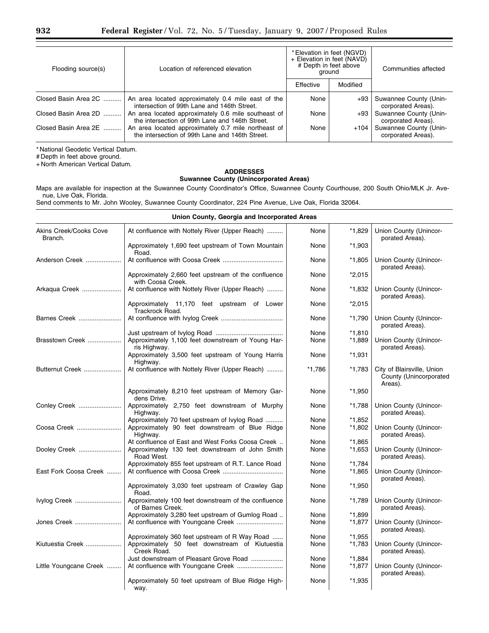| Flooding source(s)   | Location of referenced elevation                                                                       | * Elevation in feet (NGVD)<br>+ Elevation in feet (NAVD)<br># Depth in feet above<br>around |          | Communities affected                         |
|----------------------|--------------------------------------------------------------------------------------------------------|---------------------------------------------------------------------------------------------|----------|----------------------------------------------|
|                      |                                                                                                        | Effective                                                                                   | Modified |                                              |
| Closed Basin Area 2C | An area located approximately 0.4 mile east of the<br>intersection of 99th Lane and 146th Street.      | None                                                                                        | +93      | Suwannee County (Unin-<br>corporated Areas). |
| Closed Basin Area 2D | An area located approximately 0.6 mile southeast of<br>the intersection of 99th Lane and 146th Street. | None                                                                                        | +93      | Suwannee County (Unin-<br>corporated Areas). |
| Closed Basin Area 2E | An area located approximately 0.7 mile northeast of<br>the intersection of 99th Lane and 146th Street. | None                                                                                        | $+104$   | Suwannee County (Unin-<br>corporated Areas). |

\* National Geodetic Vertical Datum.

# Depth in feet above ground.

+ North American Vertical Datum.

# **ADDRESSES Suwannee County (Unincorporated Areas)**

Maps are available for inspection at the Suwannee County Coordinator's Office, Suwannee County Courthouse, 200 South Ohio/MLK Jr. Avenue, Live Oak, Florida.

Send comments to Mr. John Wooley, Suwannee County Coordinator, 224 Pine Avenue, Live Oak, Florida 32064.

#### **Union County, Georgia and Incorporated Areas**

| Akins Creek/Cooks Cove<br>Branch. | At confluence with Nottely River (Upper Reach)                           | None   | *1,829   | Union County (Unincor-<br>porated Areas).                       |
|-----------------------------------|--------------------------------------------------------------------------|--------|----------|-----------------------------------------------------------------|
|                                   | Approximately 1,690 feet upstream of Town Mountain<br>Road.              | None   | *1,903   |                                                                 |
| Anderson Creek                    |                                                                          | None   | *1,805   | Union County (Unincor-<br>porated Areas).                       |
|                                   | Approximately 2,660 feet upstream of the confluence<br>with Coosa Creek. | None   | $*2,015$ |                                                                 |
| Arkagua Creek                     | At confluence with Nottely River (Upper Reach)                           | None   | *1,832   | Union County (Unincor-<br>porated Areas).                       |
|                                   | Approximately 11,170 feet upstream of Lower<br>Trackrock Road.           | None   | $*2,015$ |                                                                 |
| Barnes Creek                      |                                                                          | None   | $*1,790$ | Union County (Unincor-<br>porated Areas).                       |
|                                   |                                                                          | None   | $*1,810$ |                                                                 |
| Brasstown Creek                   | Approximately 1,100 feet downstream of Young Har-<br>ris Highway.        | None   | *1,889   | Union County (Unincor-<br>porated Areas).                       |
|                                   | Approximately 3,500 feet upstream of Young Harris<br>Highway.            | None   | $*1,931$ |                                                                 |
| Butternut Creek                   | At confluence with Nottely River (Upper Reach)                           | *1,786 | *1,783   | City of Blairsville, Union<br>County (Unincorporated<br>Areas). |
|                                   | Approximately 8,210 feet upstream of Memory Gar-<br>dens Drive.          | None   | $*1,950$ |                                                                 |
| Conley Creek                      | Approximately 2,750 feet downstream of Murphy<br>Highway.                | None   | $*1,788$ | Union County (Unincor-<br>porated Areas).                       |
|                                   | Approximately 70 feet upstream of Ivylog Road                            | None   | *1,852   |                                                                 |
| Coosa Creek                       | Approximately 90 feet downstream of Blue Ridge<br>Highway.               | None   | *1,802   | Union County (Unincor-<br>porated Areas).                       |
|                                   | At confluence of East and West Forks Coosa Creek                         | None   | $*1,865$ |                                                                 |
| Dooley Creek                      | Approximately 130 feet downstream of John Smith<br>Road West.            | None   | *1,653   | Union County (Unincor-<br>porated Areas).                       |
|                                   | Approximately 855 feet upstream of R.T. Lance Road                       | None   | $*1,784$ |                                                                 |
| East Fork Coosa Creek             |                                                                          | None   | $*1,865$ | Union County (Unincor-<br>porated Areas).                       |
|                                   | Approximately 3,030 feet upstream of Crawley Gap<br>Road.                | None   | $*1,950$ |                                                                 |
| Ivylog Creek                      | Approximately 100 feet downstream of the confluence<br>of Barnes Creek.  | None   | *1,789   | Union County (Unincor-<br>porated Areas).                       |
|                                   | Approximately 3,280 feet upstream of Gumlog Road                         | None   | *1.899   |                                                                 |
| Jones Creek                       |                                                                          | None   | *1,877   | Union County (Unincor-<br>porated Areas).                       |
|                                   | Approximately 360 feet upstream of R Way Road                            | None   | *1,955   |                                                                 |
| Kiutuestia Creek                  | Approximately 50 feet downstream of Kiutuestia<br>Creek Road.            | None   | *1,783   | Union County (Unincor-<br>porated Areas).                       |
|                                   | Just downstream of Pleasant Grove Road                                   | None   | $*1,884$ |                                                                 |
| Little Youngcane Creek            |                                                                          | None   | $*1,877$ | Union County (Unincor-<br>porated Areas).                       |
|                                   | Approximately 50 feet upstream of Blue Ridge High-<br>way.               | None   | $*1,935$ |                                                                 |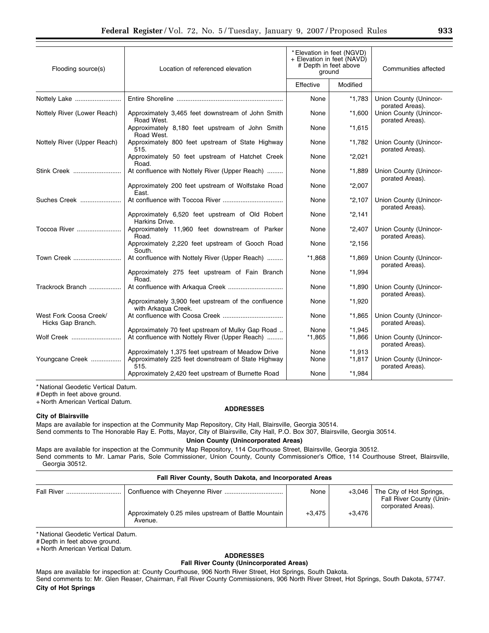| Flooding source(s)                          | Location of referenced elevation                                                                                | * Elevation in feet (NGVD)<br>+ Elevation in feet (NAVD)<br># Depth in feet above<br>ground |                      | Communities affected                      |
|---------------------------------------------|-----------------------------------------------------------------------------------------------------------------|---------------------------------------------------------------------------------------------|----------------------|-------------------------------------------|
|                                             |                                                                                                                 | Effective                                                                                   | Modified             |                                           |
| Nottely Lake                                |                                                                                                                 | None                                                                                        | $*1,783$             | Union County (Unincor-<br>porated Areas). |
| Nottely River (Lower Reach)                 | Approximately 3,465 feet downstream of John Smith<br>Road West.                                                 | None                                                                                        | $*1,600$             | Union County (Unincor-<br>porated Areas). |
|                                             | Approximately 8,180 feet upstream of John Smith<br>Road West.                                                   | None                                                                                        | $*1,615$             |                                           |
| Nottely River (Upper Reach)                 | Approximately 800 feet upstream of State Highway<br>515.                                                        | None                                                                                        | *1,782               | Union County (Unincor-<br>porated Areas). |
|                                             | Approximately 50 feet upstream of Hatchet Creek<br>Road.                                                        | None                                                                                        | $*2,021$             |                                           |
| Stink Creek                                 | At confluence with Nottely River (Upper Reach)                                                                  | None                                                                                        | $*1,889$             | Union County (Unincor-<br>porated Areas). |
|                                             | Approximately 200 feet upstream of Wolfstake Road<br>East.                                                      | None                                                                                        | $*2,007$             |                                           |
| Suches Creek                                |                                                                                                                 | None                                                                                        | $*2,107$             | Union County (Unincor-<br>porated Areas). |
|                                             | Approximately 6,520 feet upstream of Old Robert<br>Harkins Drive.                                               | None                                                                                        | $*2,141$             |                                           |
| Toccoa River                                | Approximately 11,960 feet downstream of Parker<br>Road.                                                         | None                                                                                        | $*2,407$             | Union County (Unincor-<br>porated Areas). |
|                                             | Approximately 2,220 feet upstream of Gooch Road<br>South.                                                       | None                                                                                        | $*2,156$             |                                           |
| Town Creek                                  | At confluence with Nottely River (Upper Reach)                                                                  | *1,868                                                                                      | $*1,869$             | Union County (Unincor-<br>porated Areas). |
|                                             | Approximately 275 feet upstream of Fain Branch<br>Road.                                                         | None                                                                                        | $*1,994$             |                                           |
| Trackrock Branch                            |                                                                                                                 | None                                                                                        | $*1,890$             | Union County (Unincor-<br>porated Areas). |
|                                             | Approximately 3,900 feet upstream of the confluence<br>with Arkaqua Creek.                                      | None                                                                                        | *1,920               |                                           |
| West Fork Coosa Creek/<br>Hicks Gap Branch. |                                                                                                                 | None                                                                                        | *1,865               | Union County (Unincor-<br>porated Areas). |
| Wolf Creek                                  | Approximately 70 feet upstream of Mulky Gap Road<br>At confluence with Nottely River (Upper Reach)              | None<br>*1,865                                                                              | $*1.945$<br>$*1,866$ | Union County (Unincor-<br>porated Areas). |
| Youngcane Creek                             | Approximately 1,375 feet upstream of Meadow Drive<br>Approximately 225 feet downstream of State Highway<br>515. | None<br>None                                                                                | $*1.913$<br>$*1,817$ | Union County (Unincor-<br>porated Areas). |
|                                             | Approximately 2,420 feet upstream of Burnette Road                                                              | None                                                                                        | $*1.984$             |                                           |

\* National Geodetic Vertical Datum.

# Depth in feet above ground.

+ North American Vertical Datum.

#### **City of Blairsville**

**ADDRESSES** 

Maps are available for inspection at the Community Map Repository, City Hall, Blairsville, Georgia 30514.

Send comments to The Honorable Ray E. Potts, Mayor, City of Blairsville, City Hall, P.O. Box 307, Blairsville, Georgia 30514.

# **Union County (Unincorporated Areas)**

Maps are available for inspection at the Community Map Repository, 114 Courthouse Street, Blairsville, Georgia 30512. Send comments to Mr. Lamar Paris, Sole Commissioner, Union County, County Commissioner's Office, 114 Courthouse Street, Blairsville, Georgia 30512.

|  | Fall River County, South Dakota, and Incorporated Areas |  |  |  |
|--|---------------------------------------------------------|--|--|--|
|  |                                                         |  |  |  |

|                                                                 | None     | +3.046   | The City of Hot Springs,<br>Fall River County (Unin- |
|-----------------------------------------------------------------|----------|----------|------------------------------------------------------|
| Approximately 0.25 miles upstream of Battle Mountain<br>Avenue. | $+3.475$ | $+3.476$ | corporated Areas).                                   |

\* National Geodetic Vertical Datum.

# Depth in feet above ground.

+ North American Vertical Datum.

# **ADDRESSES**

# **Fall River County (Unincorporated Areas)**

Maps are available for inspection at: County Courthouse, 906 North River Street, Hot Springs, South Dakota. Send comments to: Mr. Glen Reaser, Chairman, Fall River County Commissioners, 906 North River Street, Hot Springs, South Dakota, 57747. **City of Hot Springs**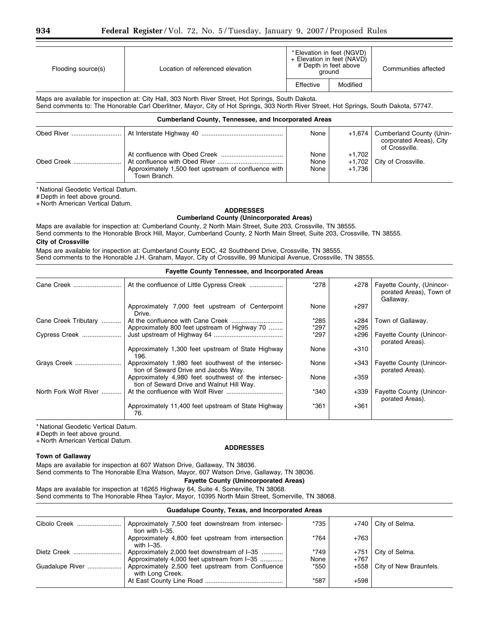| Flooding source(s) | Location of referenced elevation |           | * Elevation in feet (NGVD)<br>+ Elevation in feet (NAVD)<br># Depth in feet above<br>around | Communities affected |
|--------------------|----------------------------------|-----------|---------------------------------------------------------------------------------------------|----------------------|
|                    |                                  | Effective | Modified                                                                                    |                      |
|                    |                                  |           |                                                                                             |                      |

Maps are available for inspection at: City Hall, 303 North River Street, Hot Springs, South Dakota. Send comments to: The Honorable Carl Oberlitner, Mayor, City of Hot Springs, 303 North River Street, Hot Springs, South Dakota, 57747.

| <b>Cumberland County, Tennessee, and Incorporated Areas</b> |                                                                      |                      |                    |                                                                       |  |
|-------------------------------------------------------------|----------------------------------------------------------------------|----------------------|--------------------|-----------------------------------------------------------------------|--|
|                                                             |                                                                      | None                 | $+1.674$           | Cumberland County (Unin-<br>corporated Areas), City<br>of Crossville. |  |
|                                                             | Approximately 1,500 feet upstream of confluence with<br>Town Branch. | None<br>None<br>None | $+1.702$<br>+1.736 | +1,702   City of Crossville.                                          |  |

\* National Geodetic Vertical Datum.

# Depth in feet above ground.

+ North American Vertical Datum.

#### **ADDRESSES Cumberland County (Unincorporated Areas)**

Maps are available for inspection at: Cumberland County, 2 North Main Street, Suite 203, Crossville, TN 38555. Send comments to the Honorable Brock Hill, Mayor, Cumberland County, 2 North Main Street, Suite 203, Crossville, TN 38555.

# **City of Crossville**

Maps are available for inspection at: Cumberland County EOC, 42 Southbend Drive, Crossville, TN 38555. Send comments to the Honorable J.H. Graham, Mayor, City of Crossville, 99 Municipal Avenue, Crossville, TN 38555.

#### **Fayette County Tennessee, and Incorporated Areas**

|                                                                                                  | *278   | $+278$ | Fayette County, (Unincor-<br>porated Areas), Town of<br>Gallaway. |
|--------------------------------------------------------------------------------------------------|--------|--------|-------------------------------------------------------------------|
| Approximately 7,000 feet upstream of Centerpoint<br>Drive.                                       | None   | $+297$ |                                                                   |
|                                                                                                  | *285   | +284   | Town of Gallaway.                                                 |
| Approximately 800 feet upstream of Highway 70                                                    | $*297$ | $+295$ |                                                                   |
|                                                                                                  | *297   | $+296$ | <b>Fayette County (Unincor-</b><br>porated Areas).                |
| Approximately 1,300 feet upstream of State Highway<br>196.                                       | None   | $+310$ |                                                                   |
| Approximately 1,980 feet southwest of the intersec-<br>tion of Seward Drive and Jacobs Way.      | None   | +343   | <b>Fayette County (Unincor-</b><br>porated Areas).                |
| Approximately 4,980 feet southwest of the intersec-<br>tion of Seward Drive and Walnut Hill Way. | None   | $+359$ |                                                                   |
|                                                                                                  | *340   | $+339$ | <b>Fayette County (Unincor-</b><br>porated Areas).                |
| Approximately 11,400 feet upstream of State Highway<br>76.                                       | *361   | $+361$ |                                                                   |
|                                                                                                  |        |        |                                                                   |

\* National Geodetic Vertical Datum.

# Depth in feet above ground.

+ North American Vertical Datum.

#### **ADDRESSES**

#### **Town of Gallaway**

Maps are available for inspection at 607 Watson Drive, Gallaway, TN 38036. Send comments to The Honorable Elna Watson, Mayor, 607 Watson Drive, Gallaway, TN 38036.

#### **Fayette County (Unincorporated Areas)**

Maps are available for inspection at 16265 Highway 64, Suite 4, Somerville, TN 38068. Send comments to The Honorable Rhea Taylor, Mayor, 10395 North Main Street, Somerville, TN 38068.

### **Guadalupe County, Texas, and Incorporated Areas**

| Cibolo Creek    | Approximately 7,500 feet downstream from intersec-                                   | *735   | +740   | City of Selma.                |
|-----------------|--------------------------------------------------------------------------------------|--------|--------|-------------------------------|
|                 | tion with I-35.<br>Approximately 4,800 feet upstream from intersection<br>with I-35. | $*764$ | $+763$ |                               |
| Dietz Creek     | Approximately 2,000 feet downstream of I-35                                          | $*749$ | $+751$ | City of Selma.                |
|                 | Approximately 4,000 feet upstream from I-35                                          | None   | $+767$ |                               |
| Guadalupe River | Approximately 2,500 feet upstream from Confluence<br>with Long Creek.                | *550   |        | $+558$ City of New Braunfels. |
|                 |                                                                                      | *587   | $+598$ |                               |